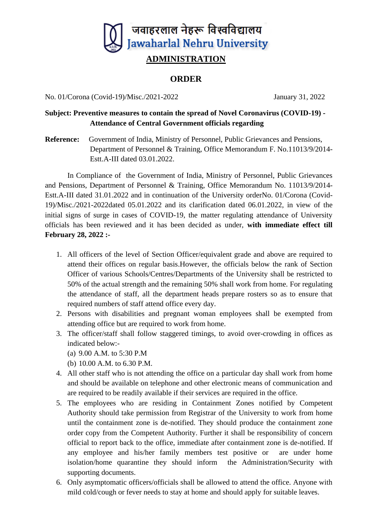

## **ORDER**

No. 01/Corona (Covid-19)/Misc./2021-2022 January 31, 2022

## **Subject: Preventive measures to contain the spread of Novel Coronavirus (COVID-19) - Attendance of Central Government officials regarding**

**Reference:** Government of India, Ministry of Personnel, Public Grievances and Pensions, Department of Personnel & Training, Office Memorandum F. No.11013/9/2014- Estt.A-III dated 03.01.2022.

In Compliance of the Government of India, Ministry of Personnel, Public Grievances and Pensions, Department of Personnel & Training, Office Memorandum No. 11013/9/2014- Estt.A-III dated 31.01.2022 and in continuation of the University orderNo. 01/Corona (Covid-19)/Misc./2021-2022dated 05.01.2022 and its clarification dated 06.01.2022, in view of the initial signs of surge in cases of COVID-19, the matter regulating attendance of University officials has been reviewed and it has been decided as under, **with immediate effect till February 28, 2022 :-**

- 1. All officers of the level of Section Officer/equivalent grade and above are required to attend their offices on regular basis.However, the officials below the rank of Section Officer of various Schools/Centres/Departments of the University shall be restricted to 50% of the actual strength and the remaining 50% shall work from home. For regulating the attendance of staff, all the department heads prepare rosters so as to ensure that required numbers of staff attend office every day.
- 2. Persons with disabilities and pregnant woman employees shall be exempted from attending office but are required to work from home.
- 3. The officer/staff shall follow staggered timings, to avoid over-crowding in offices as indicated below:-
	- (a) 9.00 A.M. to 5:30 P.M
	- (b) 10.00 A.M. to 6.30 P.M.
- 4. All other staff who is not attending the office on a particular day shall work from home and should be available on telephone and other electronic means of communication and are required to be readily available if their services are required in the office.
- 5. The employees who are residing in Containment Zones notified by Competent Authority should take permission from Registrar of the University to work from home until the containment zone is de-notified. They should produce the containment zone order copy from the Competent Authority. Further it shall be responsibility of concern official to report back to the office, immediate after containment zone is de-notified. If any employee and his/her family members test positive or are under home isolation/home quarantine they should inform the Administration/Security with supporting documents.
- 6. Only asymptomatic officers/officials shall be allowed to attend the office. Anyone with mild cold/cough or fever needs to stay at home and should apply for suitable leaves.